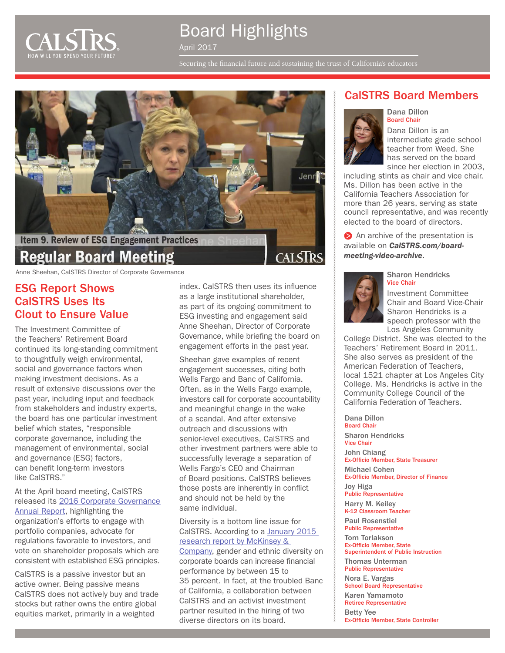

# Board Highlights

April 2017

Securing the financial future and sustaining the trust of California's educators



Anne Sheehan, CalSTRS Director of Corporate Governance

### ESG Report Shows CalSTRS Uses Its Clout to Ensure Value

The Investment Committee of the Teachers' Retirement Board continued its long-standing commitment to thoughtfully weigh environmental, social and governance factors when making investment decisions. As a result of extensive discussions over the past year, including input and feedback from stakeholders and industry experts, the board has one particular investment belief which states, "responsible corporate governance, including the management of environmental, social and governance (ESG) factors, can benefit long-term investors like CalSTRS."

#### At the April board meeting, CalSTRS released its [2016 Corporate Governance](http://www.calstrs.com/report/corporate-governance-annual-report)  [Annual Report,](http://www.calstrs.com/report/corporate-governance-annual-report) highlighting the

organization's efforts to engage with portfolio companies, advocate for regulations favorable to investors, and vote on shareholder proposals which are consistent with established ESG principles.

CalSTRS is a passive investor but an active owner. Being passive means CalSTRS does not actively buy and trade stocks but rather owns the entire global equities market, primarily in a weighted

index. CalSTRS then uses its influence as a large institutional shareholder, as part of its ongoing commitment to ESG investing and engagement said Anne Sheehan, Director of Corporate Governance, while briefing the board on engagement efforts in the past year.

Sheehan gave examples of recent engagement successes, citing both Wells Fargo and Banc of California. Often, as in the Wells Fargo example, investors call for corporate accountability and meaningful change in the wake of a scandal. And after extensive outreach and discussions with senior-level executives, CalSTRS and other investment partners were able to successfully leverage a separation of Wells Fargo's CEO and Chairman of Board positions. CalSTRS believes those posts are inherently in conflict and should not be held by the same individual.

Diversity is a bottom line issue for CalSTRS. According to a [January 2015](http://www.diversitas.co.nz/Portals/25/Docs/Diversity%20Matters.pdf)  [research report by McKinsey &](http://www.diversitas.co.nz/Portals/25/Docs/Diversity%20Matters.pdf)  [Company,](http://www.diversitas.co.nz/Portals/25/Docs/Diversity%20Matters.pdf) gender and ethnic diversity on corporate boards can increase financial performance by between 15 to 35 percent. In fact, at the troubled Banc of California, a collaboration between CalSTRS and an activist investment partner resulted in the hiring of two diverse directors on its board.

### CalSTRS Board Members



Dana Dillon is an intermediate grade school teacher from Weed. She has served on the board since her election in 2003,

including stints as chair and vice chair. Ms. Dillon has been active in the California Teachers Association for more than 26 years, serving as state council representative, and was recently elected to the board of directors.

An archive of the presentation is available on *[CalSTRS.com/board](http://www.calstrs.com/board-meeting-video-archive)[meeting-video-archive](http://www.calstrs.com/board-meeting-video-archive)*.



Sharon Hendricks Vice Chair

Investment Committee Chair and Board Vice-Chair Sharon Hendricks is a speech professor with the Los Angeles Community

College District. She was elected to the Teachers' Retirement Board in 2011. She also serves as president of the American Federation of Teachers, local 1521 chapter at Los Angeles City College. Ms. Hendricks is active in the Community College Council of the California Federation of Teachers.

Dana Dillon Board Chair Sharon Hendricks Vice Chair John Chiang Ex-Officio Member, State Treasurer

Michael Cohen Ex-Officio Member, Director of Finance Joy Higa

Public Representative

Harry M. Keiley K-12 Classroom Teacher

Paul Rosenstiel Public Representative

Tom Torlakson

Ex-Officio Member, State Superintendent of Public Instruction Thomas Unterman

Public Representative Nora E. Vargas

School Board Representative Karen Yamamoto

Retiree Representative

Betty Yee Ex-Officio Member, State Controller